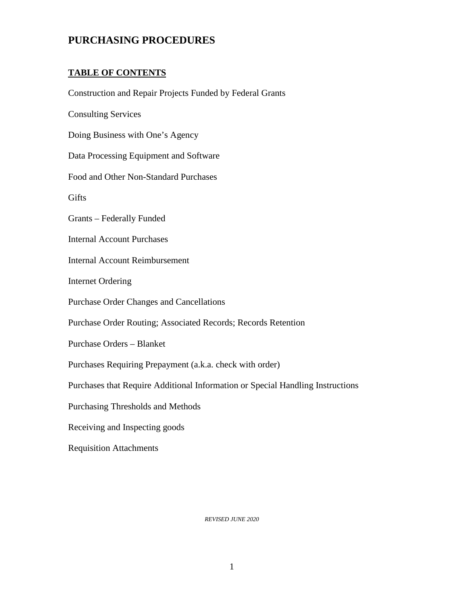# **PURCHASING PROCEDURES**

## **TABLE OF CONTENTS**

 Purchases that Require Additional Information or Special Handling Instructions Construction and Repair Projects Funded by Federal Grants Consulting Services Doing Business with One's Agency Data Processing Equipment and Software Food and Other Non-Standard Purchases Gifts Grants – Federally Funded Internal Account Purchases Internal Account Reimbursement Internet Ordering Purchase Order Changes and Cancellations Purchase Order Routing; Associated Records; Records Retention Purchase Orders – Blanket Purchases Requiring Prepayment (a.k.a. check with order) Purchasing Thresholds and Methods Receiving and Inspecting goods Requisition Attachments

*REVISED JUNE 2020*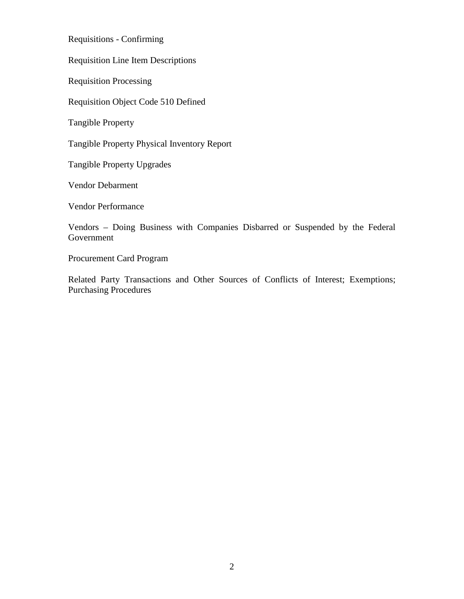Requisitions - Confirming

Requisition Line Item Descriptions

Requisition Processing

Requisition Object Code 510 Defined

Tangible Property

Tangible Property Physical Inventory Report

Tangible Property Upgrades

Vendor Debarment

Vendor Performance

 Vendors – Doing Business with Companies Disbarred or Suspended by the Federal Government

Procurement Card Program

Related Party Transactions and Other Sources of Conflicts of Interest; Exemptions; Purchasing Procedures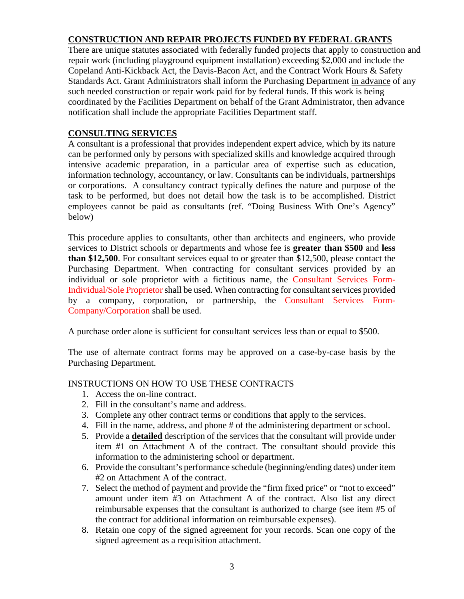# **CONSTRUCTION AND REPAIR PROJECTS FUNDED BY FEDERAL GRANTS**

There are unique statutes associated with federally funded projects that apply to construction and repair work (including playground equipment installation) exceeding \$2,000 and include the Copeland Anti-Kickback Act, the Davis-Bacon Act, and the Contract Work Hours & Safety Standards Act. Grant Administrators shall inform the Purchasing Department in advance of any such needed construction or repair work paid for by federal funds. If this work is being coordinated by the Facilities Department on behalf of the Grant Administrator, then advance notification shall include the appropriate Facilities Department staff.

## **CONSULTING SERVICES**

 intensive academic preparation, in a particular area of expertise such as education, A consultant is a professional that provides independent expert advice, which by its nature can be performed only by persons with specialized skills and knowledge acquired through information technology, accountancy, or law. Consultants can be individuals, partnerships or corporations. A consultancy contract typically defines the nature and purpose of the task to be performed, but does not detail how the task is to be accomplished. District employees cannot be paid as consultants (ref. "Doing Business With One's Agency" below)

 individual or sole proprietor with a fictitious name, the [Consultant Services Form-](https://fl02219191.schoolwires.net/cms/lib/FL02219191/Centricity/Domain/78/CONSULTING-AGREEMENT-SP-Rev-02-18-18.pdf)This procedure applies to consultants, other than architects and engineers, who provide services to District schools or departments and whose fee is **greater than \$500** and **less than \$12,500**. For consultant services equal to or greater than \$12,500, please contact the Purchasing Department. When contracting for consultant services provided by an [Individual/Sole Proprietor](https://fl02219191.schoolwires.net/cms/lib/FL02219191/Centricity/Domain/78/CONSULTING-AGREEMENT-SP-Rev-02-18-18.pdf) shall be used. When contracting for consultant services provided [by a company, corporation, or partnership, the Consultant Services Form-](https://www.sbac.edu/site/handlers/filedownload.ashx?moduleinstanceid=23363&dataid=41200&FileName=PUR-718-001%20-%20Consultant%20Services%20Agreement%20-%20Companies-Corporations-Partnerships.pdf)Company/Corporation shall be used.

A purchase order alone is sufficient for consultant services less than or equal to \$500.

The use of alternate contract forms may be approved on a case-by-case basis by the Purchasing Department.

#### INSTRUCTIONS ON HOW TO USE THESE CONTRACTS

- 1. Access the on-line contract.
- 2. Fill in the consultant's name and address.
- 3. Complete any other contract terms or conditions that apply to the services.
- 4. Fill in the name, address, and phone # of the administering department or school.
- 5. Provide a **detailed** description of the services that the consultant will provide under item #1 on Attachment A of the contract. The consultant should provide this information to the administering school or department.
- 6. Provide the consultant's performance schedule (beginning/ending dates) under item #2 on Attachment A of the contract.
- 7. Select the method of payment and provide the "firm fixed price" or "not to exceed" amount under item #3 on Attachment A of the contract. Also list any direct reimbursable expenses that the consultant is authorized to charge (see item #5 of the contract for additional information on reimbursable expenses).
- 8. Retain one copy of the signed agreement for your records. Scan one copy of the signed agreement as a requisition attachment.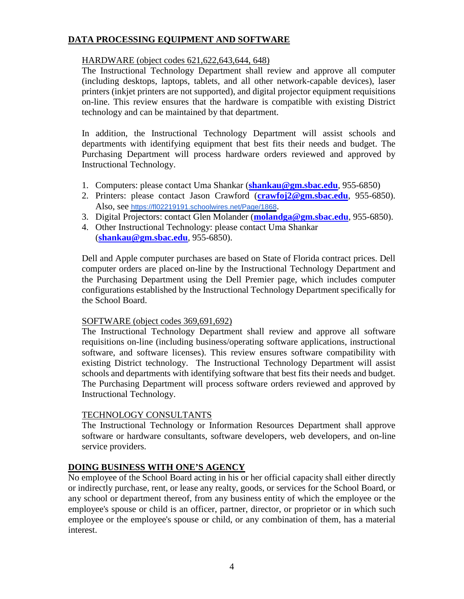## **DATA PROCESSING EQUIPMENT AND SOFTWARE**

## HARDWARE (object codes 621,622,643,644, 648)

The Instructional Technology Department shall review and approve all computer (including desktops, laptops, tablets, and all other network-capable devices), laser printers (inkjet printers are not supported), and digital projector equipment requisitions on-line. This review ensures that the hardware is compatible with existing District technology and can be maintained by that department.

In addition, the Instructional Technology Department will assist schools and departments with identifying equipment that best fits their needs and budget. The Purchasing Department will process hardware orders reviewed and approved by Instructional Technology.

- 1. Computers: please contact Uma Shankar (**shankau@gm.sbac.edu**, 955-6850)
- 2. Printers: please contact Jason Crawford (**crawfoj2@gm.sbac.edu**, 955-6850). Also, see htt[ps://fl02219191.schoolwires.net/Page/1868](https://fl02219191.schoolwires.net/Page/1868).
- 3. Digital Projectors: contact Glen Molander (**molandga@gm.sbac.edu**, 955-6850).
- 4. Other Instructional Technology: please contact Uma Shankar (**shankau@gm.sbac.edu**, 955-6850).

 Dell and Apple computer purchases are based on State of Florida contract prices. Dell computer orders are placed on-line by the Instructional Technology Department and the Purchasing Department using the Dell Premier page, which includes computer configurations established by the Instructional Technology Department specifically for the School Board.

## SOFTWARE (object codes 369,691,692)

 existing District technology. The Instructional Technology Department will assist schools and departments with identifying software that best fits their needs and budget. The Instructional Technology Department shall review and approve all software requisitions on-line (including business/operating software applications, instructional software, and software licenses). This review ensures software compatibility with The Purchasing Department will process software orders reviewed and approved by Instructional Technology.

## **TECHNOLOGY CONSULTANTS**

The Instructional Technology or Information Resources Department shall approve software or hardware consultants, software developers, web developers, and on-line service providers.

# **DOING BUSINESS WITH ONE'S AGENCY**

 employee or the employee's spouse or child, or any combination of them, has a material No employee of the School Board acting in his or her official capacity shall either directly or indirectly purchase, rent, or lease any realty, goods, or services for the School Board, or any school or department thereof, from any business entity of which the employee or the employee's spouse or child is an officer, partner, director, or proprietor or in which such interest.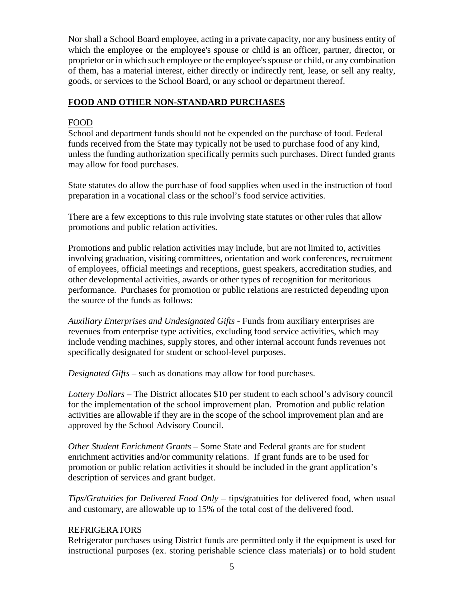of them, has a material interest, either directly or indirectly rent, lease, or sell any realty, Nor shall a School Board employee, acting in a private capacity, nor any business entity of which the employee or the employee's spouse or child is an officer, partner, director, or proprietor or in which such employee or the employee's spouse or child, or any combination goods, or services to the School Board, or any school or department thereof.

#### **FOOD AND OTHER NON-STANDARD PURCHASES**

#### FOOD

 funds received from the State may typically not be used to purchase food of any kind, may allow for food purchases. School and department funds should not be expended on the purchase of food. Federal unless the funding authorization specifically permits such purchases. Direct funded grants

may allow for food purchases.<br>State statutes do allow the purchase of food supplies when used in the instruction of food preparation in a vocational class or the school's food service activities.

 There are a few exceptions to this rule involving state statutes or other rules that allow promotions and public relation activities.

Promotions and public relation activities may include, but are not limited to, activities involving graduation, visiting committees, orientation and work conferences, recruitment of employees, official meetings and receptions, guest speakers, accreditation studies, and other developmental activities, awards or other types of recognition for meritorious performance. Purchases for promotion or public relations are restricted depending upon the source of the funds as follows:

 *Auxiliary Enterprises and Undesignated Gifts* - Funds from auxiliary enterprises are revenues from enterprise type activities, excluding food service activities, which may include vending machines, supply stores, and other internal account funds revenues not specifically designated for student or school-level purposes.

*Designated Gifts* – such as donations may allow for food purchases.

 *Lottery Dollars* – The District allocates \$10 per student to each school's advisory council for the implementation of the school improvement plan. Promotion and public relation activities are allowable if they are in the scope of the school improvement plan and are approved by the School Advisory Council.

 *Other Student Enrichment Grants* – Some State and Federal grants are for student enrichment activities and/or community relations. If grant funds are to be used for promotion or public relation activities it should be included in the grant application's description of services and grant budget.

 *Tips/Gratuities for Delivered Food Only* – tips/gratuities for delivered food, when usual and customary, are allowable up to 15% of the total cost of the delivered food.

#### REFRIGERATORS

Refrigerator purchases using District funds are permitted only if the equipment is used for instructional purposes (ex. storing perishable science class materials) or to hold student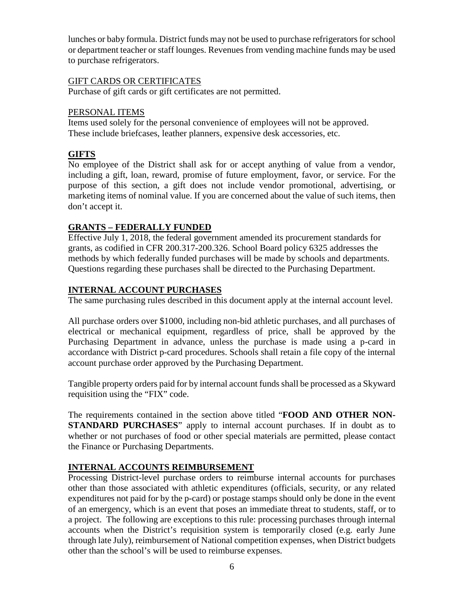lunches or baby formula. District funds may not be used to purchase refrigerators for school or department teacher or staff lounges. Revenues from vending machine funds may be used to purchase refrigerators.

#### GIFT CARDS OR CERTIFICATES

Purchase of gift cards or gift certificates are not permitted.

#### PERSONAL ITEMS

 Items used solely for the personal convenience of employees will not be approved. These include briefcases, leather planners, expensive desk accessories, etc.

#### **GIFTS**

No employee of the District shall ask for or accept anything of value from a vendor, including a gift, loan, reward, promise of future employment, favor, or service. For the purpose of this section, a gift does not include vendor promotional, advertising, or marketing items of nominal value. If you are concerned about the value of such items, then don't accept it.

#### **GRANTS – FEDERALLY FUNDED**

Effective July 1, 2018, the federal government amended its procurement standards for grants, as codified in CFR 200.317-200.326. School Board policy 6325 addresses the methods by which federally funded purchases will be made by schools and departments. Questions regarding these purchases shall be directed to the Purchasing Department.

#### **INTERNAL ACCOUNT PURCHASES**

The same purchasing rules described in this document apply at the internal account level.

All purchase orders over \$1000, including non-bid athletic purchases, and all purchases of electrical or mechanical equipment, regardless of price, shall be approved by the Purchasing Department in advance, unless the purchase is made using a p-card in accordance with District p-card procedures. Schools shall retain a file copy of the internal account purchase order approved by the Purchasing Department.

Tangible property orders paid for by internal account funds shall be processed as a Skyward requisition using the "FIX" code.

The requirements contained in the section above titled "**FOOD AND OTHER NON-STANDARD PURCHASES**" apply to internal account purchases. If in doubt as to whether or not purchases of food or other special materials are permitted, please contact the Finance or Purchasing Departments.

## **INTERNAL ACCOUNTS REIMBURSEMENT**

 accounts when the District's requisition system is temporarily closed (e.g. early June other than the school's will be used to reimburse expenses.<br>6 Processing District-level purchase orders to reimburse internal accounts for purchases other than those associated with athletic expenditures (officials, security, or any related expenditures not paid for by the p-card) or postage stamps should only be done in the event of an emergency, which is an event that poses an immediate threat to students, staff, or to a project. The following are exceptions to this rule: processing purchases through internal through late July), reimbursement of National competition expenses, when District budgets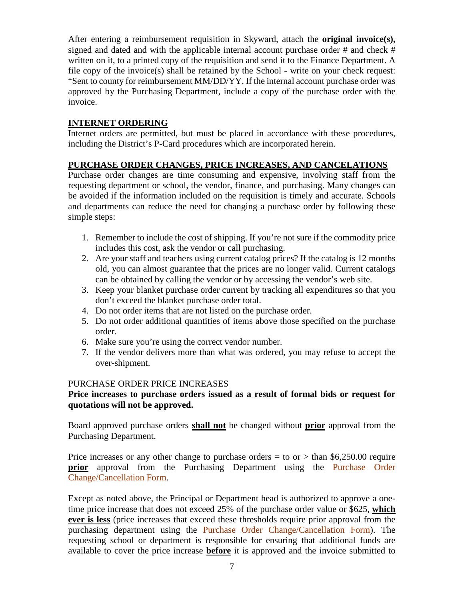approved by the Purchasing Department, include a copy of the purchase order with the After entering a reimbursement requisition in Skyward, attach the **original invoice(s),**  signed and dated and with the applicable internal account purchase order # and check # written on it, to a printed copy of the requisition and send it to the Finance Department. A file copy of the invoice(s) shall be retained by the School - write on your check request: "Sent to county for reimbursement MM/DD/YY. If the internal account purchase order was invoice.

## **INTERNET ORDERING**

Internet orders are permitted, but must be placed in accordance with these procedures, including the District's P-Card procedures which are incorporated herein.

## **PURCHASE ORDER CHANGES, PRICE INCREASES, AND CANCELATIONS**

Purchase order changes are time consuming and expensive, involving staff from the requesting department or school, the vendor, finance, and purchasing. Many changes can be avoided if the information included on the requisition is timely and accurate. Schools and departments can reduce the need for changing a purchase order by following these simple steps:

- 1. Remember to include the cost of shipping. If you're not sure if the commodity price includes this cost, ask the vendor or call purchasing.
- 2. Are your staff and teachers using current catalog prices? If the catalog is 12 months old, you can almost guarantee that the prices are no longer valid. Current catalogs can be obtained by calling the vendor or by accessing the vendor's web site.
- 3. Keep your blanket purchase order current by tracking all expenditures so that you don't exceed the blanket purchase order total.
- 4. Do not order items that are not listed on the purchase order.
- 5. Do not order additional quantities of items above those specified on the purchase order.
- 6. Make sure you're using the correct vendor number.
- 7. If the vendor delivers more than what was ordered, you may refuse to accept the over-shipment.

## PURCHASE ORDER PRICE INCREASES

## **Price increases to purchase orders issued as a result of formal bids or request for quotations will not be approved.**

Board approved purchase orders **shall not** be changed without **prior** approval from the Purchasing Department.

Price increases or any other change to purchase orders  $=$  to or  $>$  than \$6,250.00 require **prior** approval from the Purchasing Department using the [Purchase Order](https://fl02219191.schoolwires.net/cms/lib/FL02219191/Centricity/Domain/78/PURCHASE%20ORDER%20CHANGE%20FORM%2009-2019.pdf)  Change/Cancellation Form.

Except as noted above, the Principal or Department head is authorized to approve a onetime price increase that does not exceed 25% of the purchase order value or \$625, **which ever is less** (price increases that exceed these thresholds require prior approval from the purchasing department using the [Purchase Order Change/Cancellation Form\)](https://fl02219191.schoolwires.net/cms/lib/FL02219191/Centricity/Domain/78/PURCHASE%20ORDER%20CHANGE%20FORM%2009-2019.pdf). The requesting school or department is responsible for ensuring that additional funds are available to cover the price increase **before** it is approved and the invoice submitted to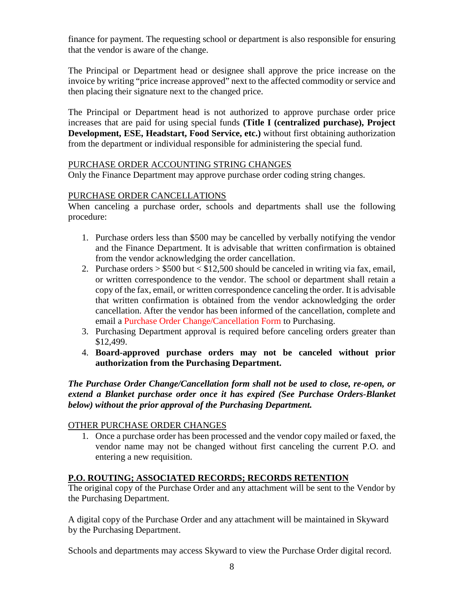finance for payment. The requesting school or department is also responsible for ensuring that the vendor is aware of the change.

The Principal or Department head or designee shall approve the price increase on the invoice by writing "price increase approved" next to the affected commodity or service and then placing their signature next to the changed price.

 **Development, ESE, Headstart, Food Service, etc.)** without first obtaining authorization The Principal or Department head is not authorized to approve purchase order price increases that are paid for using special funds **(Title I (centralized purchase), Project**  from the department or individual responsible for administering the special fund.

## PURCHASE ORDER ACCOUNTING STRING CHANGES

Only the Finance Department may approve purchase order coding string changes.

## PURCHASE ORDER CANCELLATIONS

When canceling a purchase order, schools and departments shall use the following procedure:

- 1. Purchase orders less than \$500 may be cancelled by verbally notifying the vendor and the Finance Department. It is advisable that written confirmation is obtained from the vendor acknowledging the order cancellation.
- 2. Purchase orders  $> $500$  but  $< $12,500$  should be canceled in writing via fax, email, or written correspondence to the vendor. The school or department shall retain a copy of the fax, email, or written correspondence canceling the order. It is advisable that written confirmation is obtained from the vendor acknowledging the order cancellation. After the vendor has been informed of the cancellation, complete and email a [Purchase Order Change/Cancellation Form](https://fl02219191.schoolwires.net/cms/lib/FL02219191/Centricity/Domain/78/PURCHASE%20ORDER%20CHANGE%20FORM%2009-2019.pdf) to Purchasing.
- 3. Purchasing Department approval is required before canceling orders greater than \$12,499.
- 4. **Board-approved purchase orders may not be canceled without prior authorization from the Purchasing Department.**

*The Purchase Order Change/Cancellation form shall not be used to close, re-open, or extend a Blanket purchase order once it has expired (See Purchase Orders-Blanket below) without the prior approval of the Purchasing Department.* 

## OTHER PURCHASE ORDER CHANGES

1. Once a purchase order has been processed and the vendor copy mailed or faxed, the vendor name may not be changed without first canceling the current P.O. and entering a new requisition.

## **P.O. ROUTING; ASSOCIATED RECORDS; RECORDS RETENTION**

 The original copy of the Purchase Order and any attachment will be sent to the Vendor by the Purchasing Department.

A digital copy of the Purchase Order and any attachment will be maintained in Skyward by the Purchasing Department.

Schools and departments may access Skyward to view the Purchase Order digital record.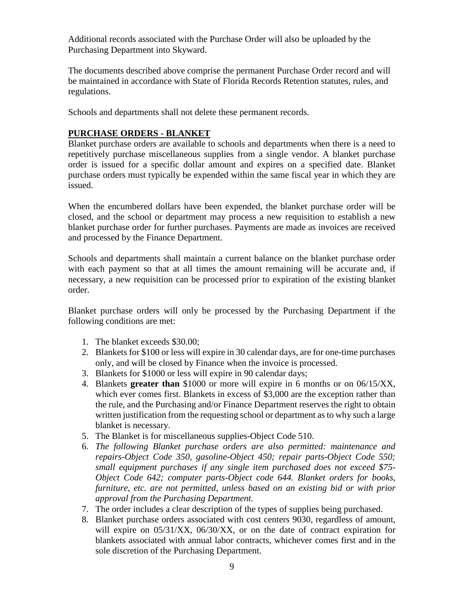Additional records associated with the Purchase Order will also be uploaded by the Purchasing Department into Skyward.

The documents described above comprise the permanent Purchase Order record and will be maintained in accordance with State of Florida Records Retention statutes, rules, and regulations.

Schools and departments shall not delete these permanent records.

## **PURCHASE ORDERS - BLANKET**

 Blanket purchase orders are available to schools and departments when there is a need to purchase orders must typically be expended within the same fiscal year in which they are issued. repetitively purchase miscellaneous supplies from a single vendor. A blanket purchase order is issued for a specific dollar amount and expires on a specified date. Blanket

When the encumbered dollars have been expended, the blanket purchase order will be closed, and the school or department may process a new requisition to establish a new blanket purchase order for further purchases. Payments are made as invoices are received and processed by the Finance Department.

Schools and departments shall maintain a current balance on the blanket purchase order with each payment so that at all times the amount remaining will be accurate and, if necessary, a new requisition can be processed prior to expiration of the existing blanket order.

 following conditions are met: Blanket purchase orders will only be processed by the Purchasing Department if the

- 1. The blanket exceeds \$30.00:
- only, and will be closed by Finance when the invoice is processed. 2. Blankets for \$100 or less will expire in 30 calendar days, are for one-time purchases
- 3. Blankets for \$1000 or less will expire in 90 calendar days;
- which ever comes first. Blankets in excess of \$3,000 are the exception rather than written justification from the requesting school or department as to why such a large blanket is necessary. 4. Blankets **greater than** \$1000 or more will expire in 6 months or on 06/15/XX, the rule, and the Purchasing and/or Finance Department reserves the right to obtain
- blanket is necessary.<br>5. The Blanket is for miscellaneous supplies-Object Code 510.
- 6. *The following Blanket purchase orders are also permitted: maintenance and repairs-Object Code 350, gasoline-Object 450; repair parts-Object Code 550; small equipment purchases if any single item purchased does not exceed \$75 Object Code 642; computer parts-Object code 644. Blanket orders for books, furniture, etc. are not permitted, unless based on an existing bid or with prior approval from the Purchasing Department.*
- 7. The order includes a clear description of the types of supplies being purchased.
- 8. Blanket purchase orders associated with cost centers 9030, regardless of amount, sole discretion of the Purchasing Department. will expire on  $05/31/XX$ ,  $06/30/XX$ , or on the date of contract expiration for blankets associated with annual labor contracts, whichever comes first and in the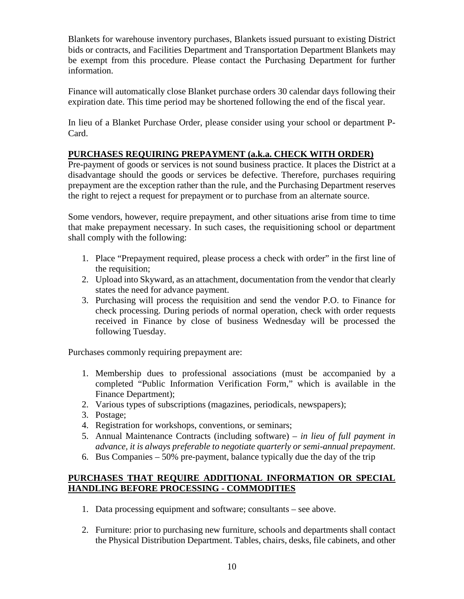be exempt from this procedure. Please contact the Purchasing Department for further Blankets for warehouse inventory purchases, Blankets issued pursuant to existing District bids or contracts, and Facilities Department and Transportation Department Blankets may information.

 Finance will automatically close Blanket purchase orders 30 calendar days following their expiration date. This time period may be shortened following the end of the fiscal year.

 In lieu of a Blanket Purchase Order, please consider using your school or department P-Card.

## **PURCHASES REQUIRING PREPAYMENT (a.k.a. CHECK WITH ORDER)**

Pre-payment of goods or services is not sound business practice. It places the District at a disadvantage should the goods or services be defective. Therefore, purchases requiring prepayment are the exception rather than the rule, and the Purchasing Department reserves the right to reject a request for prepayment or to purchase from an alternate source.

Some vendors, however, require prepayment, and other situations arise from time to time that make prepayment necessary. In such cases, the requisitioning school or department shall comply with the following:

- 1. Place "Prepayment required, please process a check with order" in the first line of the requisition;
- 2. Upload into Skyward, as an attachment, documentation from the vendor that clearly states the need for advance payment.
- 3. Purchasing will process the requisition and send the vendor P.O. to Finance for check processing. During periods of normal operation, check with order requests received in Finance by close of business Wednesday will be processed the following Tuesday.

Purchases commonly requiring prepayment are:

- 1. Membership dues to professional associations (must be accompanied by a completed "Public Information Verification Form," which is available in the Finance Department);
- 2. Various types of subscriptions (magazines, periodicals, newspapers);
- 3. Postage;
- 4. Registration for workshops, conventions, or seminars;
- 5. Annual Maintenance Contracts (including software) *in lieu of full payment in advance, it is always preferable to negotiate quarterly or semi-annual prepayment*.
- 6. Bus Companies  $-50\%$  pre-payment, balance typically due the day of the trip

## **PURCHASES THAT REQUIRE ADDITIONAL INFORMATION OR SPECIAL HANDLING BEFORE PROCESSING - COMMODITIES**

- 1. Data processing equipment and software; consultants see above.
- 2. Furniture: prior to purchasing new furniture, schools and departments shall contact the Physical Distribution Department. Tables, chairs, desks, file cabinets, and other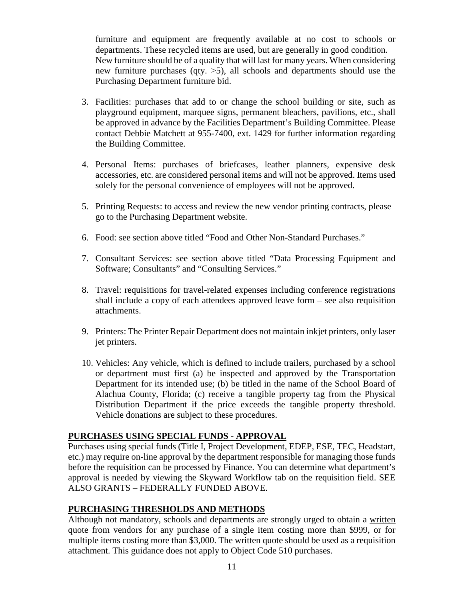furniture and equipment are frequently available at no cost to schools or departments. These recycled items are used, but are generally in good condition. New furniture should be of a quality that will last for many years. When considering new furniture purchases (qty. >5), all schools and departments should use the Purchasing Department furniture bid.

- be approved in advance by the Facilities Department's Building Committee. Please 3. Facilities: purchases that add to or change the school building or site, such as playground equipment, marquee signs, permanent bleachers, pavilions, etc., shall contact Debbie Matchett at 955-7400, ext. 1429 for further information regarding the Building Committee.
- 4. Personal Items: purchases of briefcases, leather planners, expensive desk accessories, etc. are considered personal items and will not be approved. Items used solely for the personal convenience of employees will not be approved.
- 5. Printing Requests: to access and review the new vendor printing contracts, please go to the Purchasing Department website.
- 6. Food: see section above titled "Food and Other Non-Standard Purchases."
- 7. Consultant Services: see section above titled "Data Processing Equipment and Software; Consultants" and "Consulting Services."
- shall include a copy of each attendees approved leave form see also requisition 8. Travel: requisitions for travel-related expenses including conference registrations attachments.
- 9. Printers: The Printer Repair Department does not maintain inkjet printers, only laser jet printers.
- 10. Vehicles: Any vehicle, which is defined to include trailers, purchased by a school Department for its intended use; (b) be titled in the name of the School Board of or department must first (a) be inspected and approved by the Transportation Alachua County, Florida; (c) receive a tangible property tag from the Physical Distribution Department if the price exceeds the tangible property threshold. Vehicle donations are subject to these procedures.

#### **PURCHASES USING SPECIAL FUNDS - APPROVAL**

 Purchases using special funds (Title I, Project Development, EDEP, ESE, TEC, Headstart, etc.) may require on-line approval by the department responsible for managing those funds approval is needed by viewing the Skyward Workflow tab on the requisition field. SEE before the requisition can be processed by Finance. You can determine what department's ALSO GRANTS – FEDERALLY FUNDED ABOVE.

## **PURCHASING THRESHOLDS AND METHODS**

Although not mandatory, schools and departments are strongly urged to obtain a <u>written</u> quote from vendors for any purchase of a single item costing more than \$999, or for multiple items costing more than \$3,000. The written quote should be used as a requisition attachment. This guidance does not apply to Object Code 510 purchases.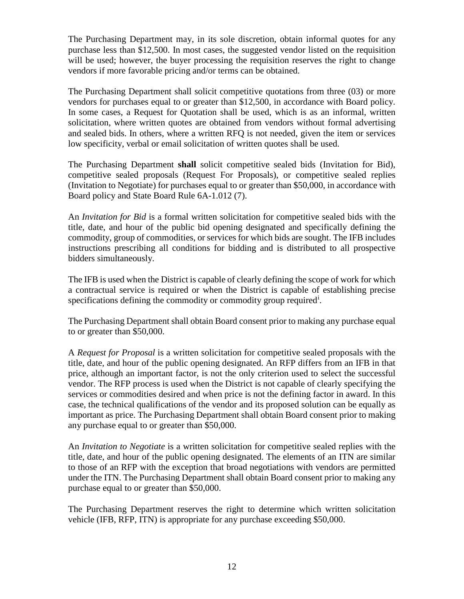The Purchasing Department may, in its sole discretion, obtain informal quotes for any purchase less than \$12,500. In most cases, the suggested vendor listed on the requisition will be used; however, the buyer processing the requisition reserves the right to change vendors if more favorable pricing and/or terms can be obtained.

 The Purchasing Department shall solicit competitive quotations from three (03) or more and sealed bids. In others, where a written RFQ is not needed, given the item or services vendors for purchases equal to or greater than \$12,500, in accordance with Board policy. In some cases, a Request for Quotation shall be used, which is as an informal, written solicitation, where written quotes are obtained from vendors without formal advertising low specificity, verbal or email solicitation of written quotes shall be used.

The Purchasing Department **shall** solicit competitive sealed bids (Invitation for Bid), competitive sealed proposals (Request For Proposals), or competitive sealed replies (Invitation to Negotiate) for purchases equal to or greater than \$50,000, in accordance with Board policy and State Board Rule 6A-1.012 (7).

 title, date, and hour of the public bid opening designated and specifically defining the An *Invitation for Bid* is a formal written solicitation for competitive sealed bids with the commodity, group of commodities, or services for which bids are sought. The IFB includes instructions prescribing all conditions for bidding and is distributed to all prospective bidders simultaneously.

specifications defining the commodity or commodity group required<sup>i</sup>. The IFB is used when the District is capable of clearly defining the scope of work for which a contractual service is required or when the District is capable of establishing precise

 The Purchasing Department shall obtain Board consent prior to making any purchase equal to or greater than \$50,000.

 vendor. The RFP process is used when the District is not capable of clearly specifying the case, the technical qualifications of the vendor and its proposed solution can be equally as A *Request for Proposal* is a written solicitation for competitive sealed proposals with the title, date, and hour of the public opening designated. An RFP differs from an IFB in that price, although an important factor, is not the only criterion used to select the successful services or commodities desired and when price is not the defining factor in award. In this important as price. The Purchasing Department shall obtain Board consent prior to making any purchase equal to or greater than \$50,000.

 purchase equal to or greater than \$50,000. An *Invitation to Negotiate* is a written solicitation for competitive sealed replies with the title, date, and hour of the public opening designated. The elements of an ITN are similar to those of an RFP with the exception that broad negotiations with vendors are permitted under the ITN. The Purchasing Department shall obtain Board consent prior to making any

 vehicle (IFB, RFP, ITN) is appropriate for any purchase exceeding \$50,000. The Purchasing Department reserves the right to determine which written solicitation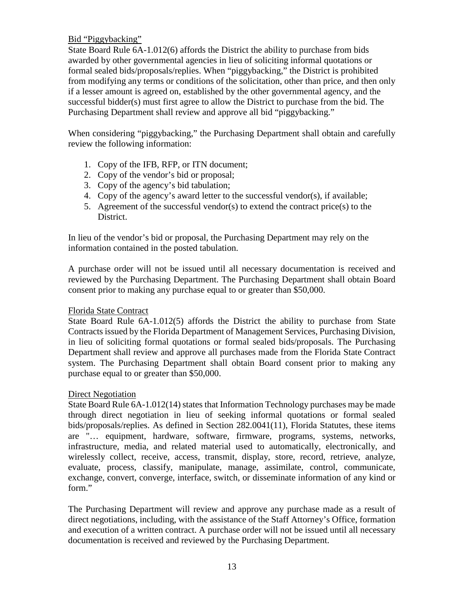#### Bid "Piggybacking"

 from modifying any terms or conditions of the solicitation, other than price, and then only if a lesser amount is agreed on, established by the other governmental agency, and the Purchasing Department shall review and approve all bid "piggybacking." State Board Rule 6A-1.012(6) affords the District the ability to purchase from bids awarded by other governmental agencies in lieu of soliciting informal quotations or formal sealed bids/proposals/replies. When "piggybacking," the District is prohibited successful bidder(s) must first agree to allow the District to purchase from the bid. The

When considering "piggybacking," the Purchasing Department shall obtain and carefully review the following information:

- 1. Copy of the IFB, RFP, or ITN document;
- 2. Copy of the vendor's bid or proposal;
- 3. Copy of the agency's bid tabulation;
- 4. Copy of the agency's award letter to the successful vendor(s), if available;
- 5. Agreement of the successful vendor(s) to extend the contract price(s) to the District.

 In lieu of the vendor's bid or proposal, the Purchasing Department may rely on the information contained in the posted tabulation.

 consent prior to making any purchase equal to or greater than \$50,000. A purchase order will not be issued until all necessary documentation is received and reviewed by the Purchasing Department. The Purchasing Department shall obtain Board

## Florida State Contract

 Department shall review and approve all purchases made from the Florida State Contract purchase equal to or greater than \$50,000. State Board Rule 6A-1.012(5) affords the District the ability to purchase from State Contracts issued by the Florida Department of Management Services, Purchasing Division, in lieu of soliciting formal quotations or formal sealed bids/proposals. The Purchasing system. The Purchasing Department shall obtain Board consent prior to making any

## Direct Negotiation

 infrastructure, media, and related material used to automatically, electronically, and State Board Rule 6A-1.012(14) states that Information Technology purchases may be made through direct negotiation in lieu of seeking informal quotations or formal sealed bids/proposals/replies. As defined in Section 282.0041(11), Florida Statutes, these items are "… equipment, hardware, software, firmware, programs, systems, networks, wirelessly collect, receive, access, transmit, display, store, record, retrieve, analyze, evaluate, process, classify, manipulate, manage, assimilate, control, communicate, exchange, convert, converge, interface, switch, or disseminate information of any kind or form."

 The Purchasing Department will review and approve any purchase made as a result of direct negotiations, including, with the assistance of the Staff Attorney's Office, formation and execution of a written contract. A purchase order will not be issued until all necessary documentation is received and reviewed by the Purchasing Department.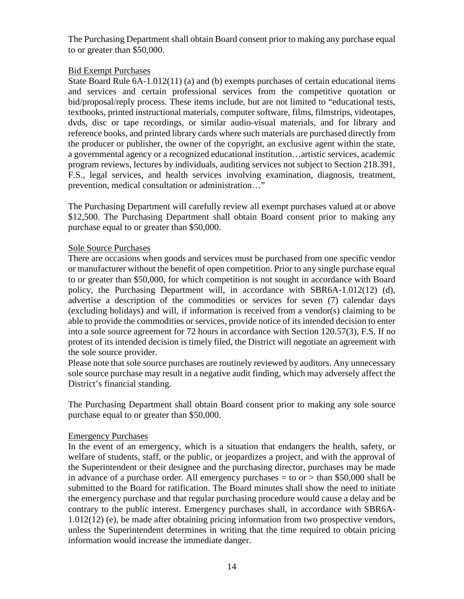The Purchasing Department shall obtain Board consent prior to making any purchase equal to or greater than \$50,000.

#### Bid Exempt Purchases

 State Board Rule 6A-1.012(11) (a) and (b) exempts purchases of certain educational items reference books, and printed library cards where such materials are purchased directly from a governmental agency or a recognized educational institution…artistic services, academic and services and certain professional services from the competitive quotation or bid/proposal/reply process. These items include, but are not limited to "educational tests, textbooks, printed instructional materials, computer software, films, filmstrips, videotapes, dvds, disc or tape recordings, or similar audio-visual materials, and for library and the producer or publisher, the owner of the copyright, an exclusive agent within the state, program reviews, lectures by individuals, auditing services not subject to Section 218.391, F.S., legal services, and health services involving examination, diagnosis, treatment, prevention, medical consultation or administration…"

 purchase equal to or greater than \$50,000. The Purchasing Department will carefully review all exempt purchases valued at or above \$12,500. The Purchasing Department shall obtain Board consent prior to making any

#### Sole Source Purchases

 advertise a description of the commodities or services for seven (7) calendar days protest of its intended decision is timely filed, the District will negotiate an agreement with There are occasions when goods and services must be purchased from one specific vendor or manufacturer without the benefit of open competition. Prior to any single purchase equal to or greater than \$50,000, for which competition is not sought in accordance with Board policy, the Purchasing Department will, in accordance with SBR6A-1.012(12) (d), (excluding holidays) and will, if information is received from a vendor(s) claiming to be able to provide the commodities or services, provide notice of its intended decision to enter into a sole source agreement for 72 hours in accordance with Section 120.57(3), F.S. If no the sole source provider.

Please note that sole source purchases are routinely reviewed by auditors. Any unnecessary sole source purchase may result in a negative audit finding, which may adversely affect the District's financial standing.

 purchase equal to or greater than \$50,000. The Purchasing Department shall obtain Board consent prior to making any sole source

#### Emergency Purchases

information would increase the immediate danger.<br>14 In the event of an emergency, which is a situation that endangers the health, safety, or welfare of students, staff, or the public, or jeopardizes a project, and with the approval of the Superintendent or their designee and the purchasing director, purchases may be made in advance of a purchase order. All emergency purchases  $=$  to or  $>$  than \$50,000 shall be submitted to the Board for ratification. The Board minutes shall show the need to initiate the emergency purchase and that regular purchasing procedure would cause a delay and be contrary to the public interest. Emergency purchases shall, in accordance with SBR6A-1.012(12) (e), be made after obtaining pricing information from two prospective vendors, unless the Superintendent determines in writing that the time required to obtain pricing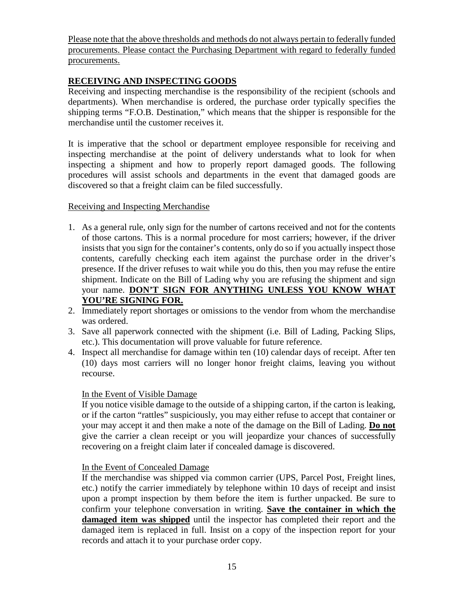Please note that the above thresholds and methods do not always pertain to federally funded procurements. Please contact the Purchasing Department with regard to federally funded procurements.

## **RECEIVING AND INSPECTING GOODS**

Receiving and inspecting merchandise is the responsibility of the recipient (schools and departments). When merchandise is ordered, the purchase order typically specifies the shipping terms "F.O.B. Destination," which means that the shipper is responsible for the merchandise until the customer receives it.

 procedures will assist schools and departments in the event that damaged goods are It is imperative that the school or department employee responsible for receiving and inspecting merchandise at the point of delivery understands what to look for when inspecting a shipment and how to properly report damaged goods. The following discovered so that a freight claim can be filed successfully.

#### Receiving and Inspecting Merchandise

- contents, carefully checking each item against the purchase order in the driver's shipment. Indicate on the Bill of Lading why you are refusing the shipment and sign 1. As a general rule, only sign for the number of cartons received and not for the contents of those cartons. This is a normal procedure for most carriers; however, if the driver insists that you sign for the container's contents, only do so if you actually inspect those presence. If the driver refuses to wait while you do this, then you may refuse the entire your name. **DON'T SIGN FOR ANYTHING UNLESS YOU KNOW WHAT YOU'RE SIGNING FOR.**
- 2. Immediately report shortages or omissions to the vendor from whom the merchandise was ordered.
- 3. Save all paperwork connected with the shipment (i.e. Bill of Lading, Packing Slips, etc.). This documentation will prove valuable for future reference.
- 4. Inspect all merchandise for damage within ten (10) calendar days of receipt. After ten (10) days most carriers will no longer honor freight claims, leaving you without recourse.

## In the Event of Visible Damage

 or if the carton "rattles" suspiciously, you may either refuse to accept that container or give the carrier a clean receipt or you will jeopardize your chances of successfully If you notice visible damage to the outside of a shipping carton, if the carton is leaking, your may accept it and then make a note of the damage on the Bill of Lading. **Do not**  recovering on a freight claim later if concealed damage is discovered.

#### In the Event of Concealed Damage

 damaged item is replaced in full. Insist on a copy of the inspection report for your If the merchandise was shipped via common carrier (UPS, Parcel Post, Freight lines, etc.) notify the carrier immediately by telephone within 10 days of receipt and insist upon a prompt inspection by them before the item is further unpacked. Be sure to confirm your telephone conversation in writing. **Save the container in which the damaged item was shipped** until the inspector has completed their report and the records and attach it to your purchase order copy.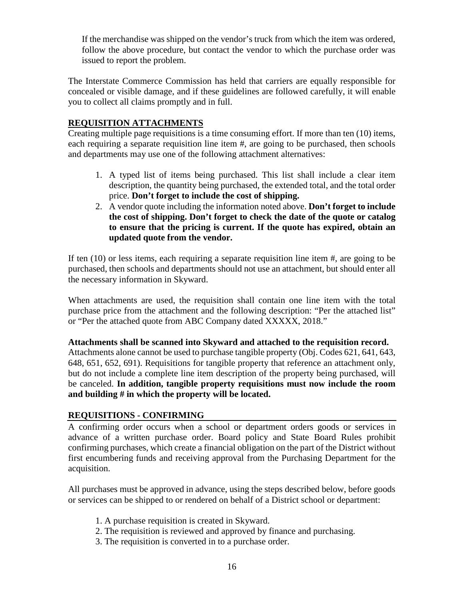If the merchandise was shipped on the vendor's truck from which the item was ordered, follow the above procedure, but contact the vendor to which the purchase order was issued to report the problem.

The Interstate Commerce Commission has held that carriers are equally responsible for concealed or visible damage, and if these guidelines are followed carefully, it will enable you to collect all claims promptly and in full.

## **REQUISITION ATTACHMENTS**

Creating multiple page requisitions is a time consuming effort. If more than ten (10) items, each requiring a separate requisition line item #, are going to be purchased, then schools and departments may use one of the following attachment alternatives:

- 1. A typed list of items being purchased. This list shall include a clear item description, the quantity being purchased, the extended total, and the total order price. **Don't forget to include the cost of shipping.**
- 2. A vendor quote including the information noted above. **Don't forget to include the cost of shipping. Don't forget to check the date of the quote or catalog to ensure that the pricing is current. If the quote has expired, obtain an updated quote from the vendor.**

 If ten (10) or less items, each requiring a separate requisition line item #, are going to be purchased, then schools and departments should not use an attachment, but should enter all the necessary information in Skyward.

When attachments are used, the requisition shall contain one line item with the total purchase price from the attachment and the following description: "Per the attached list" or "Per the attached quote from ABC Company dated XXXXX, 2018."

#### **Attachments shall be scanned into Skyward and attached to the requisition record.**

 **and building # in which the property will be located. REQUISITIONS - CONFIRMING**  Attachments alone cannot be used to purchase tangible property (Obj. Codes 621, 641, 643, 648, 651, 652, 691). Requisitions for tangible property that reference an attachment only, but do not include a complete line item description of the property being purchased, will be canceled. **In addition, tangible property requisitions must now include the room** 

A confirming order occurs when a school or department orders goods or services in advance of a written purchase order. Board policy and State Board Rules prohibit confirming purchases, which create a financial obligation on the part of the District without first encumbering funds and receiving approval from the Purchasing Department for the acquisition.

 All purchases must be approved in advance, using the steps described below, before goods or services can be shipped to or rendered on behalf of a District school or department:

- 1. A purchase requisition is created in Skyward.
- 2. The requisition is reviewed and approved by finance and purchasing.
- 3. The requisition is converted in to a purchase order.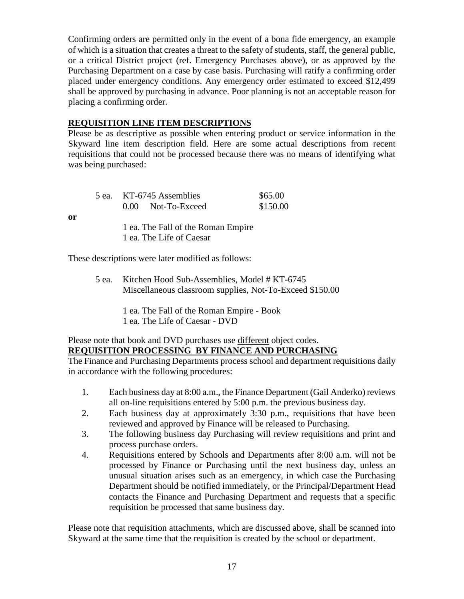Confirming orders are permitted only in the event of a bona fide emergency, an example Purchasing Department on a case by case basis. Purchasing will ratify a confirming order of which is a situation that creates a threat to the safety of students, staff, the general public, or a critical District project (ref. Emergency Purchases above), or as approved by the placed under emergency conditions. Any emergency order estimated to exceed \$12,499 shall be approved by purchasing in advance. Poor planning is not an acceptable reason for placing a confirming order.

#### **REQUISITION LINE ITEM DESCRIPTIONS**

 Skyward line item description field. Here are some actual descriptions from recent Please be as descriptive as possible when entering product or service information in the requisitions that could not be processed because there was no means of identifying what was being purchased:

| 5 ea. KT-6745 Assemblies<br>0.00 Not-To-Exceed                 | \$65.00<br>\$150.00 |
|----------------------------------------------------------------|---------------------|
| 1 ea. The Fall of the Roman Empire<br>1 ea. The Life of Caesar |                     |

These descriptions were later modified as follows:

**or** 

5 ea. Kitchen Hood Sub-Assemblies, Model # KT-6745 Miscellaneous classroom supplies, Not-To-Exceed \$150.00

> 1 ea. The Fall of the Roman Empire - Book 1 ea. The Life of Caesar - DVD

#### Please note that book and DVD purchases use different object codes. **REQUISITION PROCESSING BY FINANCE AND PURCHASING**

The Finance and Purchasing Departments process school and department requisitions daily in accordance with the following procedures:

- all on-line requisitions entered by 5:00 p.m. the previous business day. 1. Each business day at 8:00 a.m., the Finance Department (Gail Anderko) reviews
- 2. Each business day at approximately 3:30 p.m., requisitions that have been reviewed and approved by Finance will be released to Purchasing.
- 3. The following business day Purchasing will review requisitions and print and process purchase orders.
- 4. Requisitions entered by Schools and Departments after 8:00 a.m. will not be processed by Finance or Purchasing until the next business day, unless an unusual situation arises such as an emergency, in which case the Purchasing Department should be notified immediately, or the Principal/Department Head contacts the Finance and Purchasing Department and requests that a specific requisition be processed that same business day.

 Please note that requisition attachments, which are discussed above, shall be scanned into Skyward at the same time that the requisition is created by the school or department.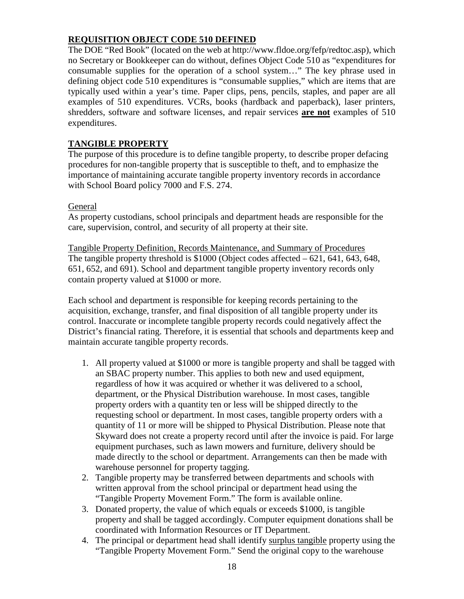## **REQUISITION OBJECT CODE 510 DEFINED**

The DOE "Red Book" (located on the web at http://www.fldoe.org/fefp/redtoc.asp), which no Secretary or Bookkeeper can do without, defines Object Code 510 as "expenditures for consumable supplies for the operation of a school system…" The key phrase used in defining object code 510 expenditures is "consumable supplies," which are items that are typically used within a year's time. Paper clips, pens, pencils, staples, and paper are all examples of 510 expenditures. VCRs, books (hardback and paperback), laser printers, shredders, software and software licenses, and repair services **are not** examples of 510 expenditures.

## **TANGIBLE PROPERTY**

 with School Board policy 7000 and F.S. 274. The purpose of this procedure is to define tangible property, to describe proper defacing procedures for non-tangible property that is susceptible to theft, and to emphasize the importance of maintaining accurate tangible property inventory records in accordance

#### **General**

 As property custodians, school principals and department heads are responsible for the care, supervision, control, and security of all property at their site.

 651, 652, and 691). School and department tangible property inventory records only Tangible Property Definition, Records Maintenance, and Summary of Procedures The tangible property threshold is  $$1000$  (Object codes affected  $-621, 641, 643, 648$ , contain property valued at \$1000 or more.

 acquisition, exchange, transfer, and final disposition of all tangible property under its control. Inaccurate or incomplete tangible property records could negatively affect the Each school and department is responsible for keeping records pertaining to the District's financial rating. Therefore, it is essential that schools and departments keep and maintain accurate tangible property records.

- quantity of 11 or more will be shipped to Physical Distribution. Please note that 1. All property valued at \$1000 or more is tangible property and shall be tagged with an SBAC property number. This applies to both new and used equipment, regardless of how it was acquired or whether it was delivered to a school, department, or the Physical Distribution warehouse. In most cases, tangible property orders with a quantity ten or less will be shipped directly to the requesting school or department. In most cases, tangible property orders with a Skyward does not create a property record until after the invoice is paid. For large equipment purchases, such as lawn mowers and furniture, delivery should be made directly to the school or department. Arrangements can then be made with warehouse personnel for property tagging.
- 2. Tangible property may be transferred between departments and schools with written approval from the school principal or department head using the "Tangible Property Movement Form." The form is available online.
- coordinated with Information Resources or IT Department. 3. Donated property, the value of which equals or exceeds \$1000, is tangible property and shall be tagged accordingly. Computer equipment donations shall be
- 4. The principal or department head shall identify surplus tangible property using the "Tangible Property Movement Form." Send the original copy to the warehouse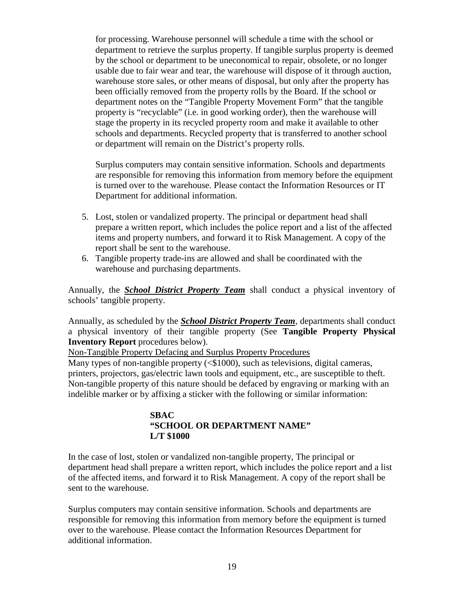for processing. Warehouse personnel will schedule a time with the school or warehouse store sales, or other means of disposal, but only after the property has department to retrieve the surplus property. If tangible surplus property is deemed by the school or department to be uneconomical to repair, obsolete, or no longer usable due to fair wear and tear, the warehouse will dispose of it through auction, been officially removed from the property rolls by the Board. If the school or department notes on the "Tangible Property Movement Form" that the tangible property is "recyclable" (i.e. in good working order), then the warehouse will stage the property in its recycled property room and make it available to other schools and departments. Recycled property that is transferred to another school or department will remain on the District's property rolls.

Surplus computers may contain sensitive information. Schools and departments are responsible for removing this information from memory before the equipment is turned over to the warehouse. Please contact the Information Resources or IT Department for additional information.

- items and property numbers, and forward it to Risk Management. A copy of the 5. Lost, stolen or vandalized property. The principal or department head shall prepare a written report, which includes the police report and a list of the affected report shall be sent to the warehouse.
- 6. Tangible property trade-ins are allowed and shall be coordinated with the warehouse and purchasing departments.

Annually, the *School District Property Team* shall conduct a physical inventory of schools' tangible property.

 a physical inventory of their tangible property (See **Tangible Property Physical** Annually, as scheduled by the *School District Property Team*, departments shall conduct **Inventory Report** procedures below).

Non-Tangible Property Defacing and Surplus Property Procedures

 printers, projectors, gas/electric lawn tools and equipment, etc., are susceptible to theft. Non-tangible property of this nature should be defaced by engraving or marking with an indelible marker or by affixing a sticker with the following or similar information: Many types of non-tangible property (<\$1000), such as televisions, digital cameras,

#### **SBAC "SCHOOL OR DEPARTMENT NAME" L/T \$1000**

In the case of lost, stolen or vandalized non-tangible property, The principal or department head shall prepare a written report, which includes the police report and a list of the affected items, and forward it to Risk Management. A copy of the report shall be sent to the warehouse.

Surplus computers may contain sensitive information. Schools and departments are responsible for removing this information from memory before the equipment is turned over to the warehouse. Please contact the Information Resources Department for additional information.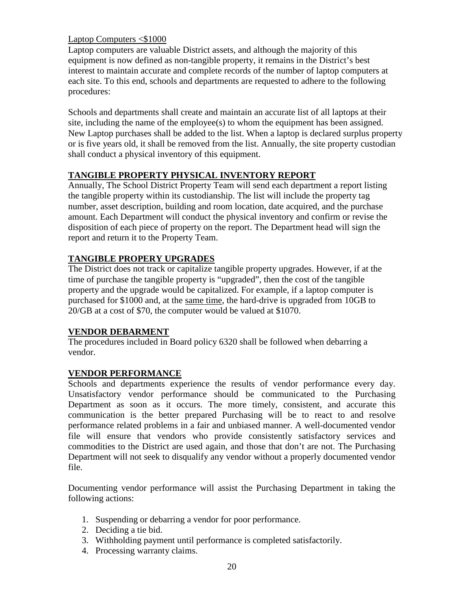## Laptop Computers <\$1000

 interest to maintain accurate and complete records of the number of laptop computers at Laptop computers are valuable District assets, and although the majority of this equipment is now defined as non-tangible property, it remains in the District's best each site. To this end, schools and departments are requested to adhere to the following procedures:

Schools and departments shall create and maintain an accurate list of all laptops at their site, including the name of the employee(s) to whom the equipment has been assigned. New Laptop purchases shall be added to the list. When a laptop is declared surplus property or is five years old, it shall be removed from the list. Annually, the site property custodian shall conduct a physical inventory of this equipment.

# **TANGIBLE PROPERTY PHYSICAL INVENTORY REPORT**

 report and return it to the Property Team. Annually, The School District Property Team will send each department a report listing the tangible property within its custodianship. The list will include the property tag number, asset description, building and room location, date acquired, and the purchase amount. Each Department will conduct the physical inventory and confirm or revise the disposition of each piece of property on the report. The Department head will sign the

# **TANGIBLE PROPERY UPGRADES**

The District does not track or capitalize tangible property upgrades. However, if at the time of purchase the tangible property is "upgraded", then the cost of the tangible property and the upgrade would be capitalized. For example, if a laptop computer is purchased for \$1000 and, at the same time, the hard-drive is upgraded from 10GB to 20/GB at a cost of \$70, the computer would be valued at \$1070.

# **VENDOR DEBARMENT**

 The procedures included in Board policy 6320 shall be followed when debarring a vendor.

# **VENDOR PERFORMANCE**

Schools and departments experience the results of vendor performance every day. Unsatisfactory vendor performance should be communicated to the Purchasing Department as soon as it occurs. The more timely, consistent, and accurate this communication is the better prepared Purchasing will be to react to and resolve performance related problems in a fair and unbiased manner. A well-documented vendor file will ensure that vendors who provide consistently satisfactory services and commodities to the District are used again, and those that don't are not. The Purchasing Department will not seek to disqualify any vendor without a properly documented vendor file.

Documenting vendor performance will assist the Purchasing Department in taking the following actions:

- 1. Suspending or debarring a vendor for poor performance.
- 2. Deciding a tie bid.
- 3. Withholding payment until performance is completed satisfactorily.
- 4. Processing warranty claims.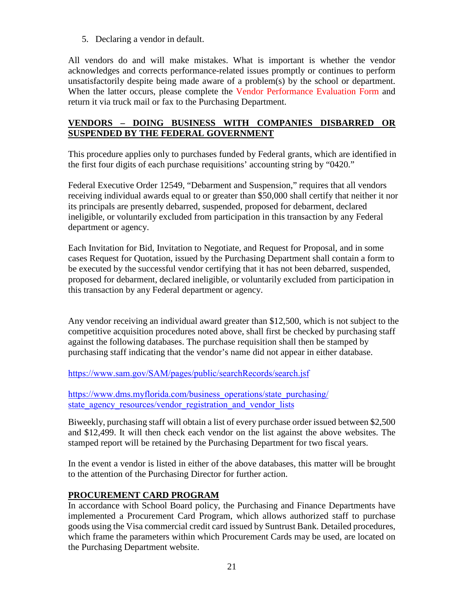5. Declaring a vendor in default.

All vendors do and will make mistakes. What is important is whether the vendor acknowledges and corrects performance-related issues promptly or continues to perform unsatisfactorily despite being made aware of a problem(s) by the school or department. When the latter occurs, please complete the [Vendor Performance Evaluation Form](https://fl02219191.schoolwires.net/cms/lib/FL02219191/Centricity/Domain/78/VENDOR_PERFORMANCE_EVALUATION_FORM.pdf) and return it via truck mail or fax to the Purchasing Department.

## **VENDORS – DOING BUSINESS WITH COMPANIES DISBARRED OR SUSPENDED BY THE FEDERAL GOVERNMENT**

 This procedure applies only to purchases funded by Federal grants, which are identified in the first four digits of each purchase requisitions' accounting string by "0420."

 ineligible, or voluntarily excluded from participation in this transaction by any Federal Federal Executive Order 12549, "Debarment and Suspension," requires that all vendors receiving individual awards equal to or greater than \$50,000 shall certify that neither it nor its principals are presently debarred, suspended, proposed for debarment, declared department or agency.

 this transaction by any Federal department or agency. Each Invitation for Bid, Invitation to Negotiate, and Request for Proposal, and in some cases Request for Quotation, issued by the Purchasing Department shall contain a form to be executed by the successful vendor certifying that it has not been debarred, suspended, proposed for debarment, declared ineligible, or voluntarily excluded from participation in

Any vendor receiving an individual award greater than \$12,500, which is not subject to the competitive acquisition procedures noted above, shall first be checked by purchasing staff against the following databases. The purchase requisition shall then be stamped by purchasing staff indicating that the vendor's name did not appear in either database.

<https://www.sam.gov/SAM/pages/public/searchRecords/search.jsf>

https://www.dms.myflorida.com/business\_operations/state\_purchasing/ state agency resources/vendor registration and vendor lists

Biweekly, purchasing staff will obtain a list of every purchase order issued between \$2,500 and \$12,499. It will then check each vendor on the list against the above websites. The stamped report will be retained by the Purchasing Department for two fiscal years.

 to the attention of the Purchasing Director for further action. In the event a vendor is listed in either of the above databases, this matter will be brought

# **PROCUREMENT CARD PROGRAM**

 goods using the Visa commercial credit card issued by Suntrust Bank. Detailed procedures, In accordance with School Board policy, the Purchasing and Finance Departments have implemented a Procurement Card Program, which allows authorized staff to purchase which frame the parameters within which Procurement Cards may be used, are located on the Purchasing Department website.